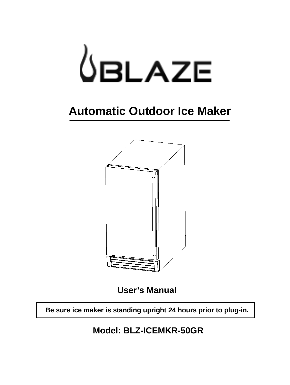

## **Automatic Outdoor Ice Maker**



**User's Manual**

**Be sure ice maker is standing upright 24 hours prior to plug-in.**

**Model: BLZ-ICEMKR-50GR**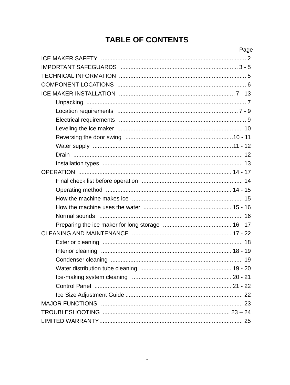## **TABLE OF CONTENTS**

| Page |
|------|
|      |
|      |
|      |
|      |
|      |
|      |
|      |
|      |
|      |
|      |
|      |
|      |
|      |
|      |
|      |
|      |
|      |
|      |
|      |
|      |
|      |
|      |
|      |
|      |
|      |
|      |
|      |
|      |
|      |
|      |
|      |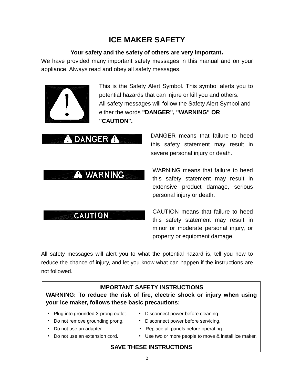## **ICE MAKER SAFETY**

#### **Your safety and the safety of others are very important.**

We have provided many important safety messages in this manual and on your appliance. Always read and obey all safety messages.



This is the Safety Alert Symbol. This symbol alerts you to potential hazards that can injure or kill you and others. All safety messages will follow the Safety Alert Symbol and either the words **"DANGER", "WARNING" OR "CAUTION".**

## **DANGER A**

## A WARNING

DANGER means that failure to heed this safety statement may result in severe personal injury or death.

WARNING means that failure to heed this safety statement may result in extensive product damage, serious personal injury or death.

## **CAUTION**

CAUTION means that failure to heed this safety statement may result in minor or moderate personal injury, or property or equipment damage.

All safety messages will alert you to what the potential hazard is, tell you how to reduce the chance of injury, and let you know what can happen if the instructions are not followed.

#### **IMPORTANT SAFETY INSTRUCTIONS**

**WARNING: To reduce the risk of fire, electric shock or injury when using your ice maker, follows these basic precautions:**

- Plug into grounded 3-prong outlet. Disconnect power before cleaning.
- Do not remove grounding prong. Disconnect power before servicing.
- 
- 
- 
- 
- Do not use an adapter. **Replace all panels before operating.**
- Do not use an extension cord. Use two or more people to move & install ice maker.
	-

#### **SAVE THESE INSTRUCTIONS**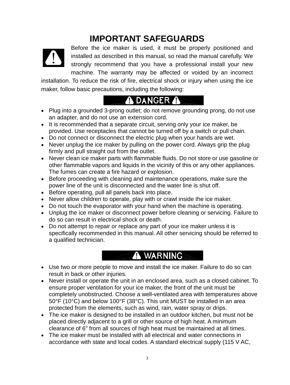## **IMPORTANT SAFEGUARDS**



Before the ice maker is used, it must be properly positioned and installed as described in this manual, so read the manual carefully. We strongly recommend that you have a professional install your new machine. The warranty may be affected or voided by an incorrect

installation. To reduce the risk of fire, electrical shock or injury when using the ice maker, follow basic precautions, including the following:

## **A DANGER A**

- Plug into a grounded 3-prong outlet; do not remove grounding prong, do not use an adapter, and do not use an extension cord.
- It is recommended that a separate circuit, serving only your ice maker, be provided. Use receptacles that cannot be turned off by a switch or pull chain.
- Do not connect or disconnect the electric plug when your hands are wet.
- Never unplug the ice maker by pulling on the power cord. Always grip the plug firmly and pull straight out from the outlet.
- Never clean ice maker parts with flammable fluids. Do not store or use gasoline or other flammable vapors and liquids in the vicinity of this or any other appliances. The fumes can create a fire hazard or explosion.
- Before proceeding with cleaning and maintenance operations, make sure the power line of the unit is disconnected and the water line is shut off.
- Before operating, pull all panels back into place.
- Never allow children to operate, play with or crawl inside the ice maker.
- Do not touch the evaporator with your hand when the machine is operating.
- Unplug the ice maker or disconnect power before cleaning or servicing. Failure to do so can result in electrical shock or death.
- Do not attempt to repair or replace any part of your ice maker unless it is specifically recommended in this manual. All other servicing should be referred to a qualified technician.

## A WARNING

- Use two or more people to move and install the ice maker. Failure to do so can result in back or other injuries.
- Never install or operate the unit in an enclosed area, such as a closed cabinet. To ensure proper ventilation for your ice maker, the front of the unit must be completely unobstructed. Choose a well-ventilated area with temperatures above 50°F (10°C) and below 100°F (38°C). This unit MUST be installed in an area protected from the elements, such as wind, rain, water spray or drips.
- The ice maker is designed to be installed in an outdoor kitchen, but must not be placed directly adjacent to a grill or other source of high heat. A minimum clearance of 6" from all sources of high heat must be maintained at all times.
- The ice maker must be installed with all electrical and water connections in accordance with state and local codes. A standard electrical supply (115 V AC,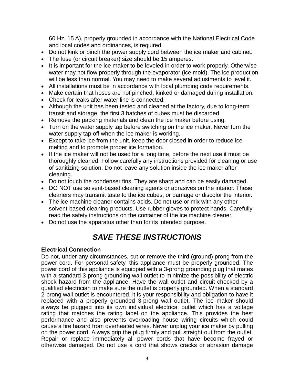60 Hz, 15 A), properly grounded in accordance with the National Electrical Code and local codes and ordinances, is required.

- Do not kink or pinch the power supply cord between the ice maker and cabinet.
- The fuse (or circuit breaker) size should be 15 amperes.
- It is important for the ice maker to be leveled in order to work properly. Otherwise water may not flow properly through the evaporator (ice mold). The ice production will be less than normal. You may need to make several adjustments to level it.
- All installations must be in accordance with local plumbing code requirements.
- Make certain that hoses are not pinched, kinked or damaged during installation.
- Check for leaks after water line is connected.
- Although the unit has been tested and cleaned at the factory, due to long-term transit and storage, the first 3 batches of cubes must be discarded.
- Remove the packing materials and clean the ice maker before using.
- Turn on the water supply tap before switching on the ice maker. Never turn the water supply tap off when the ice maker is working.
- Except to take ice from the unit, keep the door closed in order to reduce ice melting and to promote proper ice formation.
- If the ice maker will not be used for a long time, before the next use it must be thoroughly cleaned. Follow carefully any instructions provided for cleaning or use of sanitizing solution. Do not leave any solution inside the ice maker after cleaning.
- Do not touch the condenser fins. They are sharp and can be easily damaged.
- DO NOT use solvent-based cleaning agents or abrasives on the interior. These cleaners may transmit taste to the ice cubes, or damage or discolor the interior.
- The ice machine cleaner contains acids. Do not use or mix with any other solvent-based cleaning products. Use rubber gloves to protect hands. Carefully read the safety instructions on the container of the ice machine cleaner.
- Do not use the apparatus other than for its intended purpose.

## *SAVE THESE INSTRUCTIONS*

#### **Electrical Connection**

Do not, under any circumstances, cut or remove the third (ground) prong from the power cord. For personal safety, this appliance must be properly grounded. The power cord of this appliance is equipped with a 3-prong grounding plug that mates with a standard 3-prong grounding wall outlet to minimize the possibility of electric shock hazard from the appliance. Have the wall outlet and circuit checked by a qualified electrician to make sure the outlet is properly grounded. When a standard 2-prong wall outlet is encountered, it is your responsibility and obligation to have it replaced with a properly grounded 3-prong wall outlet. The ice maker should always be plugged into its own individual electrical outlet which has a voltage rating that matches the rating label on the appliance. This provides the best performance and also prevents overloading house wiring circuits which could cause a fire hazard from overheated wires. Never unplug your ice maker by pulling on the power cord. Always grip the plug firmly and pull straight out from the outlet. Repair or replace immediately all power cords that have become frayed or otherwise damaged. Do not use a cord that shows cracks or abrasion damage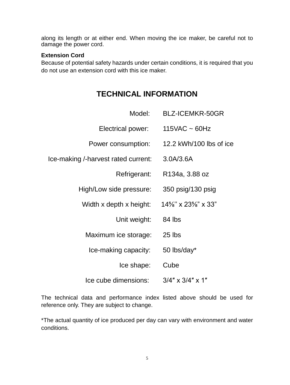along its length or at either end. When moving the ice maker, be careful not to damage the power cord.

#### **Extension Cord**

Because of potential safety hazards under certain conditions, it is required that you do not use an extension cord with this ice maker.

## **TECHNICAL INFORMATION**

| Model:                              | <b>BLZ-ICEMKR-50GR</b>                                     |
|-------------------------------------|------------------------------------------------------------|
| Electrical power:                   | $115VAC \sim 60Hz$                                         |
| Power consumption:                  | 12.2 kWh/100 lbs of ice                                    |
| Ice-making /-harvest rated current: | 3.0A/3.6A                                                  |
| Refrigerant:                        | R134a, 3.88 oz                                             |
| High/Low side pressure:             | 350 psig/130 psig                                          |
| Width x depth x height:             | $14\frac{5}{8}$ " x 23 <sup>5</sup> / <sub>8</sub> " x 33" |
| Unit weight:                        | 84 lbs                                                     |
| Maximum ice storage:                | 25 lbs                                                     |
| Ice-making capacity:                | 50 lbs/day*                                                |
| Ice shape:                          | Cube                                                       |
| Ice cube dimensions:                | $3/4$ " x $3/4$ " x 1"                                     |

The technical data and performance index listed above should be used for reference only. They are subject to change.

\*The actual quantity of ice produced per day can vary with environment and water conditions.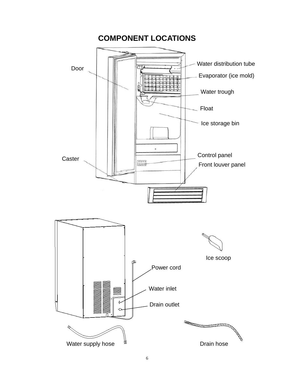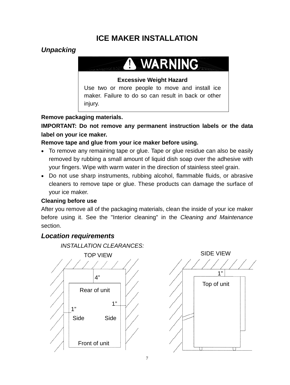## **ICE MAKER INSTALLATION**

#### *Unpacking*

## **WARNING**

#### **Excessive Weight Hazard**

Use two or more people to move and install ice maker. Failure to do so can result in back or other injury.

#### **Remove packaging materials.**

**IMPORTANT: Do not remove any permanent instruction labels or the data label on your ice maker.**

#### **Remove tape and glue from your ice maker before using.**

- To remove any remaining tape or glue. Tape or glue residue can also be easily removed by rubbing a small amount of liquid dish soap over the adhesive with your fingers. Wipe with warm water in the direction of stainless steel grain.
- Do not use sharp instruments, rubbing alcohol, flammable fluids, or abrasive cleaners to remove tape or glue. These products can damage the surface of your ice maker.

#### **Cleaning before use**

After you remove all of the packaging materials, clean the inside of your ice maker before using it. See the "Interior cleaning" in the *Cleaning and Maintenance* section.

#### *Location requirements*

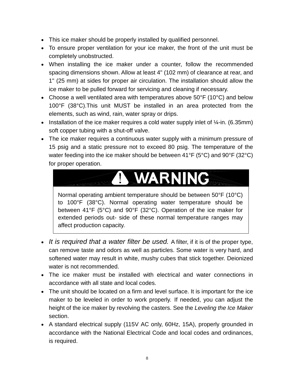- This ice maker should be properly installed by qualified personnel.
- To ensure proper ventilation for your ice maker, the front of the unit must be completely unobstructed.
- When installing the ice maker under a counter, follow the recommended spacing dimensions shown. Allow at least 4" (102 mm) of clearance at rear, and 1" (25 mm) at sides for proper air circulation. The installation should allow the ice maker to be pulled forward for servicing and cleaning if necessary.
- Choose a well ventilated area with temperatures above 50°F (10°C) and below 100°F (38°C).This unit MUST be installed in an area protected from the elements, such as wind, rain, water spray or drips.
- Installation of the ice maker requires a cold water supply inlet of  $\frac{1}{4}$ -in. (6.35mm) soft copper tubing with a shut-off valve.
- The ice maker requires a continuous water supply with a minimum pressure of 15 psig and a static pressure not to exceed 80 psig. The temperature of the water feeding into the ice maker should be between 41°F (5°C) and 90°F (32°C) for proper operation.

#### **WARNING** T

Normal operating ambient temperature should be between 50°F (10°C) to 100°F (38°C). Normal operating water temperature should be between 41°F (5°C) and 90°F (32°C). Operation of the ice maker for extended periods out- side of these normal temperature ranges may affect production capacity.

- *It is required that a water filter be used.* A filter, if it is of the proper type, can remove taste and odors as well as particles. Some water is very hard, and softened water may result in white, mushy cubes that stick together. Deionized water is not recommended.
- The ice maker must be installed with electrical and water connections in accordance with all state and local codes.
- The unit should be located on a firm and level surface. It is important for the ice maker to be leveled in order to work properly. If needed, you can adjust the height of the ice maker by revolving the casters. See the *Leveling the Ice Maker* section.
- A standard electrical supply (115V AC only, 60Hz, 15A), properly grounded in accordance with the National Electrical Code and local codes and ordinances, is required.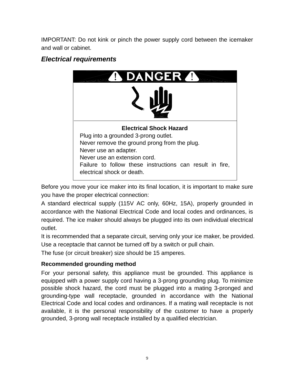IMPORTANT: Do not kink or pinch the power supply cord between the icemaker and wall or cabinet.

## **GERA** D **Electrical Shock Hazard** Plug into a grounded 3-prong outlet. Never remove the ground prong from the plug. Never use an adapter. Never use an extension cord. Failure to follow these instructions can result in fire, electrical shock or death.

### *Electrical requirements*

Before you move your ice maker into its final location, it is important to make sure you have the proper electrical connection:

A standard electrical supply (115V AC only, 60Hz, 15A), properly grounded in accordance with the National Electrical Code and local codes and ordinances, is required. The ice maker should always be plugged into its own individual electrical outlet.

It is recommended that a separate circuit, serving only your ice maker, be provided. Use a receptacle that cannot be turned off by a switch or pull chain.

The fuse (or circuit breaker) size should be 15 amperes.

#### **Recommended grounding method**

For your personal safety, this appliance must be grounded. This appliance is equipped with a power supply cord having a 3-prong grounding plug. To minimize possible shock hazard, the cord must be plugged into a mating 3-pronged and grounding-type wall receptacle, grounded in accordance with the National Electrical Code and local codes and ordinances. If a mating wall receptacle is not available, it is the personal responsibility of the customer to have a properly grounded, 3-prong wall receptacle installed by a qualified electrician.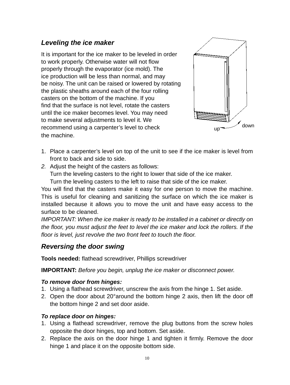#### *Leveling the ice maker*

It is important for the ice maker to be leveled in order to work properly. Otherwise water will not flow properly through the evaporator (ice mold). The ice production will be less than normal, and may be noisy. The unit can be raised or lowered by rotating the plastic sheaths around each of the four rolling casters on the bottom of the machine. If you find that the surface is not level, rotate the casters until the ice maker becomes level. You may need to make several adjustments to level it. We recommend using a carpenter's level to check the machine.



- 1. Place a carpenter's level on top of the unit to see if the ice maker is level from front to back and side to side.
- *2.* Adjust the height of the casters as follows: Turn the leveling casters to the right to lower that side of the ice maker.

Turn the leveling casters to the left to raise that side of the ice maker.

You will find that the casters make it easy for one person to move the machine. This is useful for cleaning and sanitizing the surface on which the ice maker is installed because it allows you to move the unit and have easy access to the surface to be cleaned.

*IMPORTANT: When the ice maker is ready to be installed in a cabinet or directly on the floor, you must adjust the feet to level the ice maker and lock the rollers. If the floor is level, just revolve the two front feet to touch the floor.*

#### *Reversing the door swing*

**Tools needed:** flathead screwdriver, Phillips screwdriver

**IMPORTANT:** *Before you begin, unplug the ice maker or disconnect power.*

#### *To remove door from hinges:*

- 1. Using a flathead screwdriver, unscrew the axis from the hinge 1. Set aside.
- 2. Open the door about 20°around the bottom hinge 2 axis, then lift the door off the bottom hinge 2 and set door aside.

#### *To replace door on hinges:*

- 1. Using a flathead screwdriver, remove the plug buttons from the screw holes opposite the door hinges, top and bottom. Set aside.
- 2. Replace the axis on the door hinge 1 and tighten it firmly. Remove the door hinge 1 and place it on the opposite bottom side.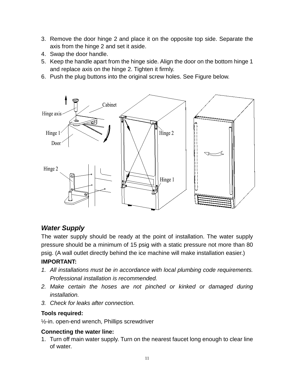- 3. Remove the door hinge 2 and place it on the opposite top side. Separate the axis from the hinge 2 and set it aside.
- 4. Swap the door handle.
- 5. Keep the handle apart from the hinge side. Align the door on the bottom hinge 1 and replace axis on the hinge 2. Tighten it firmly.
- 6. Push the plug buttons into the original screw holes. See Figure below.



#### *Water Supply*

The water supply should be ready at the point of installation. The water supply pressure should be a minimum of 15 psig with a static pressure not more than 80 psig. (A wall outlet directly behind the ice machine will make installation easier.)

#### **IMPORTANT:**

- *1. All installations must be in accordance with local plumbing code requirements. Professional installation is recommended.*
- *2. Make certain the hoses are not pinched or kinked or damaged during installation.*
- *3. Check for leaks after connection.*

#### **Tools required:**

½-in. open-end wrench, Phillips screwdriver

#### **Connecting the water line:**

1. Turn off main water supply. Turn on the nearest faucet long enough to clear line of water.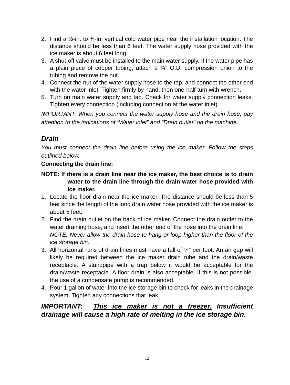- 2. Find a  $\frac{1}{2}$ -in. to  $\frac{3}{4}$ -in. vertical cold water pipe near the installation location. The distance should be less than 6 feet. The water supply hose provided with the ice maker is about 6 feet long.
- 3. A shut-off valve must be installed to the main water supply. If the water pipe has a plain piece of copper tubing, attach a  $\frac{1}{4}$ " O.D. compression union to the tubing and remove the nut.
- 4. Connect the nut of the water supply hose to the tap, and connect the other end with the water inlet. Tighten firmly by hand, then one-half turn with wrench.
- 5. Turn on main water supply and tap. Check for water supply connection leaks. Tighten every connection (including connection at the water inlet).

*IMPORTANT: When you connect the water supply hose and the drain hose, pay attention to the indications of "Water inlet" and "Drain outlet" on the machine.*

### *Drain*

*You must connect the drain line before using the ice maker. Follow the steps outlined below.*

#### **Connecting the drain line:**

- **NOTE: If there is a drain line near the ice maker, the best choice is to drain water to the drain line through the drain water hose provided with ice maker.**
- 1. Locate the floor drain near the ice maker. The distance should be less than 5 feet since the length of the long drain water hose provided with the ice maker is about 5 feet.
- 2. Find the drain outlet on the back of ice maker. Connect the drain outlet to the water draining hose, and insert the other end of the hose into the drain line. *NOTE: Never allow the drain hose to hang or loop higher than the floor of the ice storage bin.*
- 3. All horizontal runs of drain lines must have a fall of ¼" per foot. An air gap will likely be required between the ice maker drain tube and the drain/waste receptacle. A standpipe with a trap below it would be acceptable for the drain/waste receptacle. A floor drain is also acceptable. If this is not possible, the use of a condensate pump is recommended.
- 4. Pour 1 gallon of water into the ice storage bin to check for leaks in the drainage system. Tighten any connections that leak.

### *IMPORTANT: This ice maker is not a freezer. Insufficient drainage will cause a high rate of melting in the ice storage bin.*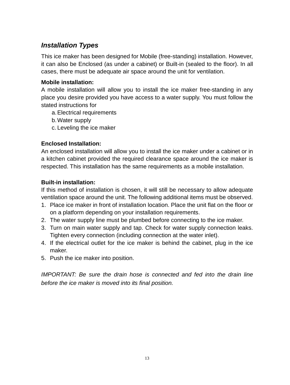#### *Installation Types*

This ice maker has been designed for Mobile (free-standing) installation. However, it can also be Enclosed (as under a cabinet) or Built-in (sealed to the floor). In all cases, there must be adequate air space around the unit for ventilation.

#### **Mobile installation:**

A mobile installation will allow you to install the ice maker free-standing in any place you desire provided you have access to a water supply. You must follow the stated instructions for

- a.Electrical requirements
- b.Water supply
- c. Leveling the ice maker

#### **Enclosed Installation:**

An enclosed installation will allow you to install the ice maker under a cabinet or in a kitchen cabinet provided the required clearance space around the ice maker is respected. This installation has the same requirements as a mobile installation.

#### **Built-in installation:**

If this method of installation is chosen, it will still be necessary to allow adequate ventilation space around the unit. The following additional items must be observed.

- 1. Place ice maker in front of installation location. Place the unit flat on the floor or on a platform depending on your installation requirements.
- 2. The water supply line must be plumbed before connecting to the ice maker.
- 3. Turn on main water supply and tap. Check for water supply connection leaks. Tighten every connection (including connection at the water inlet).
- 4. If the electrical outlet for the ice maker is behind the cabinet, plug in the ice maker.
- 5. Push the ice maker into position.

*IMPORTANT: Be sure the drain hose is connected and fed into the drain line before the ice maker is moved into its final position.*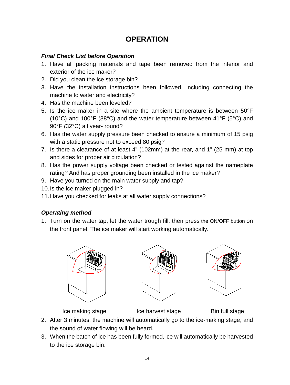### **OPERATION**

#### *Final Check List before Operation*

- 1. Have all packing materials and tape been removed from the interior and exterior of the ice maker?
- 2. Did you clean the ice storage bin?
- 3. Have the installation instructions been followed, including connecting the machine to water and electricity?
- 4. Has the machine been leveled?
- 5. Is the ice maker in a site where the ambient temperature is between 50°F (10°C) and 100°F (38°C) and the water temperature between 41°F (5°C) and 90°F (32°C) all year- round?
- 6. Has the water supply pressure been checked to ensure a minimum of 15 psig with a static pressure not to exceed 80 psig?
- 7. Is there a clearance of at least 4" (102mm) at the rear, and 1" (25 mm) at top and sides for proper air circulation?
- 8. Has the power supply voltage been checked or tested against the nameplate rating? And has proper grounding been installed in the ice maker?
- 9. Have you turned on the main water supply and tap?
- 10.Is the ice maker plugged in?
- 11.Have you checked for leaks at all water supply connections?

#### *Operating method*

1. Turn on the water tap, let the water trough fill, then press the ON/OFF button on the front panel. The ice maker will start working automatically.







Ice making stage The Reflect of the harvest stage The Bin full stage

- 2. After 3 minutes, the machine will automatically go to the ice-making stage, and the sound of water flowing will be heard.
- 3. When the batch of ice has been fully formed, ice will automatically be harvested to the ice storage bin.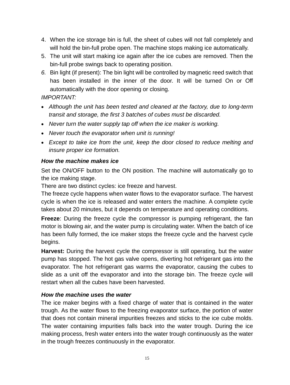- 4. When the ice storage bin is full, the sheet of cubes will not fall completely and will hold the bin-full probe open. The machine stops making ice automatically.
- 5. The unit will start making ice again after the ice cubes are removed. Then the bin-full probe swings back to operating position.
- *6.* Bin light (if present): The bin light will be controlled by magnetic reed switch that has been installed in the inner of the door. It will be turned On or Off automatically with the door opening or closing.

#### *IMPORTANT:*

- *Although the unit has been tested and cleaned at the factory, due to long-term transit and storage, the first 3 batches of cubes must be discarded.*
- *Never turn the water supply tap off when the ice maker is working.*
- *Never touch the evaporator when unit is running!*
- *Except to take ice from the unit, keep the door closed to reduce melting and insure proper ice formation.*

#### *How the machine makes ice*

Set the ON/OFF button to the ON position. The machine will automatically go to the ice making stage.

There are two distinct cycles: ice freeze and harvest.

The freeze cycle happens when water flows to the evaporator surface. The harvest cycle is when the ice is released and water enters the machine. A complete cycle takes about 20 minutes, but it depends on temperature and operating conditions.

**Freeze**: During the freeze cycle the compressor is pumping refrigerant, the fan motor is blowing air, and the water pump is circulating water. When the batch of ice has been fully formed, the ice maker stops the freeze cycle and the harvest cycle begins.

**Harvest:** During the harvest cycle the compressor is still operating, but the water pump has stopped. The hot gas valve opens, diverting hot refrigerant gas into the evaporator. The hot refrigerant gas warms the evaporator, causing the cubes to slide as a unit off the evaporator and into the storage bin. The freeze cycle will restart when all the cubes have been harvested.

#### *How the machine uses the water*

The ice maker begins with a fixed charge of water that is contained in the water trough. As the water flows to the freezing evaporator surface, the portion of water that does not contain mineral impurities freezes and sticks to the ice cube molds. The water containing impurities falls back into the water trough. During the ice making process, fresh water enters into the water trough continuously as the water in the trough freezes continuously in the evaporator.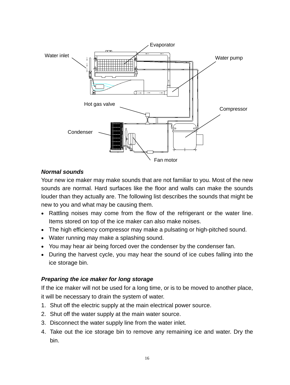

#### *Normal sounds*

Your new ice maker may make sounds that are not familiar to you. Most of the new sounds are normal. Hard surfaces like the floor and walls can make the sounds louder than they actually are. The following list describes the sounds that might be new to you and what may be causing them.

- Rattling noises may come from the flow of the refrigerant or the water line. Items stored on top of the ice maker can also make noises.
- The high efficiency compressor may make a pulsating or high-pitched sound.
- Water running may make a splashing sound.
- You may hear air being forced over the condenser by the condenser fan.
- During the harvest cycle, you may hear the sound of ice cubes falling into the ice storage bin.

#### *Preparing the ice maker for long storage*

If the ice maker will not be used for a long time, or is to be moved to another place, it will be necessary to drain the system of water.

- 1. Shut off the electric supply at the main electrical power source.
- 2. Shut off the water supply at the main water source.
- 3. Disconnect the water supply line from the water inlet.
- 4. Take out the ice storage bin to remove any remaining ice and water. Dry the bin.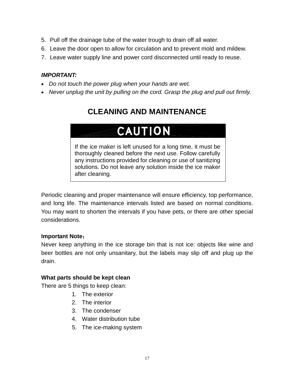- 5. Pull off the drainage tube of the water trough to drain off all water.
- 6. Leave the door open to allow for circulation and to prevent mold and mildew.
- 7. Leave water supply line and power cord disconnected until ready to reuse.

#### *IMPORTANT:*

- *Do not touch the power plug when your hands are wet.*
- *Never unplug the unit by pulling on the cord. Grasp the plug and pull out firmly.*

## **CLEANING AND MAINTENANCE**

## **CAUTION**

If the ice maker is left unused for a long time, it must be thoroughly cleaned before the next use. Follow carefully any instructions provided for cleaning or use of sanitizing solutions. Do not leave any solution inside the ice maker after cleaning.

Periodic cleaning and proper maintenance will ensure efficiency, top performance, and long life. The maintenance intervals listed are based on normal conditions. You may want to shorten the intervals if you have pets, or there are other special considerations.

#### **Important Note**:

Never keep anything in the ice storage bin that is not ice: objects like wine and beer bottles are not only unsanitary, but the labels may slip off and plug up the drain.

#### **What parts should be kept clean**

There are 5 things to keep clean:

- 1. The exterior
- 2. The interior
- 3. The condenser
- 4. Water distribution tube
- 5. The ice-making system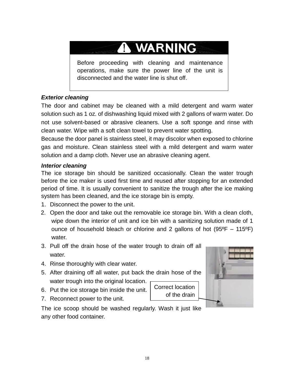## **A WARNING**

Before proceeding with cleaning and maintenance operations, make sure the power line of the unit is disconnected and the water line is shut off.

#### *Exterior cleaning*

The door and cabinet may be cleaned with a mild detergent and warm water solution such as 1 oz. of dishwashing liquid mixed with 2 gallons of warm water. Do not use solvent-based or abrasive cleaners. Use a soft sponge and rinse with clean water. Wipe with a soft clean towel to prevent water spotting.

Because the door panel is stainless steel, it may discolor when exposed to chlorine gas and moisture. Clean stainless steel with a mild detergent and warm water solution and a damp cloth. Never use an abrasive cleaning agent.

#### *Interior cleaning*

The ice storage bin should be sanitized occasionally. Clean the water trough before the ice maker is used first time and reused after stopping for an extended period of time. It is usually convenient to sanitize the trough after the ice making system has been cleaned, and the ice storage bin is empty.

- 1. Disconnect the power to the unit.
- 2. Open the door and take out the removable ice storage bin. With a clean cloth, wipe down the interior of unit and ice bin with a sanitizing solution made of 1 ounce of household bleach or chlorine and 2 gallons of hot (95ºF – 115ºF) water.
- 3. Pull off the drain hose of the water trough to drain off all water.
- 4. Rinse thoroughly with clear water.
- 5. After draining off all water, put back the drain hose of the water trough into the original location.
- 6. Put the ice storage bin inside the unit.
- 7. Reconnect power to the unit.

Correct location of the drain



The ice scoop should be washed regularly. Wash it just like any other food container.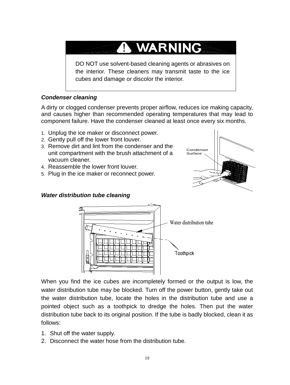## A WARNING

DO NOT use solvent-based cleaning agents or abrasives on the interior. These cleaners may transmit taste to the ice cubes and damage or discolor the interior.

#### *Condenser cleaning*

A dirty or clogged condenser prevents proper airflow, reduces ice making capacity, and causes higher than recommended operating temperatures that may lead to component failure. Have the condenser cleaned at least once every six months.

- 1. Unplug the ice maker or disconnect power.
- 2. Gently pull off the lower front louver.
- 3. Remove dirt and lint from the condenser and the unit compartment with the brush attachment of a vacuum cleaner.
- 4. Reassemble the lower front louver.
- 5. Plug in the ice maker or reconnect power.





*Water distribution tube cleaning*

When you find the ice cubes are incompletely formed or the output is low, the water distribution tube may be blocked. Turn off the power button, gently take out the water distribution tube, locate the holes in the distribution tube and use a pointed object such as a toothpick to dredge the holes. Then put the water distribution tube back to its original position. If the tube is badly blocked, clean it as follows:

- 1. Shut off the water supply.
- 2. Disconnect the water hose from the distribution tube.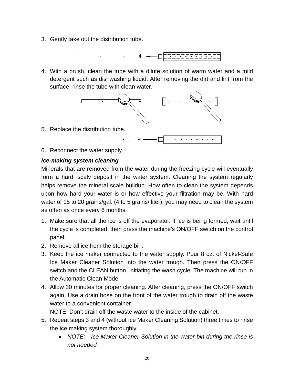3. Gently take out the distribution tube.



4. With a brush, clean the tube with a dilute solution of warm water and a mild detergent such as dishwashing liquid. After removing the dirt and lint from the surface, rinse the tube with clean water.



6. Reconnect the water supply.

#### *Ice-making system cleaning*

Minerals that are removed from the water during the freezing cycle will eventually form a hard, scaly deposit in the water system. Cleaning the system regularly helps remove the mineral scale buildup. How often to clean the system depends upon how hard your water is or how effective your filtration may be. With hard water of 15 to 20 grains/gal. (4 to 5 grains/ liter), you may need to clean the system as often as once every 6 months.

- 1. Make sure that all the ice is off the evaporator. If ice is being formed, wait until the cycle is completed, then press the machine's ON/OFF switch on the control panel.
- 2. Remove all ice from the storage bin.
- 3. Keep the ice maker connected to the water supply. Pour 8 oz. of Nickel-Safe Ice Maker Cleaner Solution into the water trough. Then press the ON/OFF switch and the CLEAN button, initiating the wash cycle. The machine will run in the Automatic Clean Mode.
- 4. Allow 30 minutes for proper cleaning. After cleaning, press the ON/OFF switch again. Use a drain hose on the front of the water trough to drain off the waste water to a convenient container.

NOTE: Don't drain off the waste water to the inside of the cabinet.

- 5. Repeat steps 3 and 4 (without Ice Maker Cleaning Solution) three times to rinse the ice making system thoroughly.
	- *NOTE: Ice Maker Cleaner Solution in the water bin during the rinse is not needed.*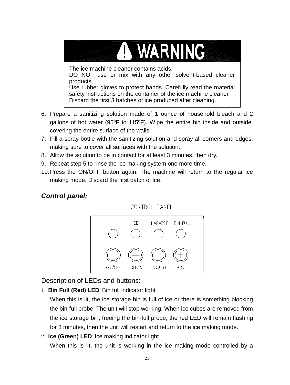# A WARNING

The ice machine cleaner contains acids. DO NOT use or mix with any other solvent-based cleaner products. Use rubber gloves to protect hands. Carefully read the material safety instructions on the container of the ice machine cleaner. Discard the first 3 batches of ice produced after cleaning.

- 6. Prepare a sanitizing solution made of 1 ounce of household bleach and 2 gallons of hot water (95ºF to 115ºF). Wipe the entire bin inside and outside, covering the entire surface of the walls.
- 7. Fill a spray bottle with the sanitizing solution and spray all corners and edges, making sure to cover all surfaces with the solution.
- 8. Allow the solution to be in contact for at least 3 minutes, then dry.
- 9. Repeat step 5 to rinse the ice making system one more time.
- 10.Press the ON/OFF button again. The machine will return to the regular ice making mode. Discard the first batch of ice.

#### *Control panel:*

CONTROL PANEL



Description of LEDs and buttons:

1. **Bin Full (Red) LED**: Bin full indicator light

When this is lit, the ice storage bin is full of ice or there is something blocking the bin-full probe. The unit will stop working. When ice cubes are removed from the ice storage bin, freeing the bin-full probe, the red LED will remain flashing for 3 minutes, then the unit will restart and return to the ice making mode.

2. **Ice (Green) LED**: Ice making indicator light When this is lit, the unit is working in the ice making mode controlled by a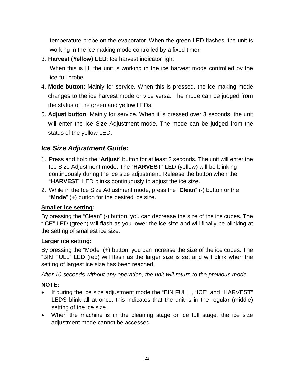temperature probe on the evaporator. When the green LED flashes, the unit is working in the ice making mode controlled by a fixed timer.

3. **Harvest (Yellow) LED**: Ice harvest indicator light

When this is lit, the unit is working in the ice harvest mode controlled by the ice-full probe.

- 4. **Mode button**: Mainly for service. When this is pressed, the ice making mode changes to the ice harvest mode or vice versa. The mode can be judged from the status of the green and yellow LEDs.
- 5. **Adjust button**: Mainly for service. When it is pressed over 3 seconds, the unit will enter the Ice Size Adjustment mode. The mode can be judged from the status of the yellow LED.

#### *Ice Size Adjustment Guide:*

- 1. Press and hold the "**Adjust**" button for at least 3 seconds. The unit will enter the Ice Size Adjustment mode. The "**HARVEST**" LED (yellow) will be blinking continuously during the ice size adjustment. Release the button when the "**HARVEST**" LED blinks continuously to adjust the ice size.
- 2. While in the Ice Size Adjustment mode, press the "**Clean**" (-) button or the "**Mode**" (+) button for the desired ice size.

#### **Smaller ice setting:**

By pressing the "Clean" (-) button, you can decrease the size of the ice cubes. The "ICE" LED (green) will flash as you lower the ice size and will finally be blinking at the setting of smallest ice size.

#### **Larger ice setting:**

By pressing the "Mode" (+) button, you can increase the size of the ice cubes. The "BIN FULL" LED (red) will flash as the larger size is set and will blink when the setting of largest ice size has been reached.

*After 10 seconds without any operation, the unit will return to the previous mode.*

#### **NOTE:**

- If during the ice size adjustment mode the "BIN FULL", "ICE" and "HARVEST" LEDS blink all at once, this indicates that the unit is in the regular (middle) setting of the ice size.
- When the machine is in the cleaning stage or ice full stage, the ice size adjustment mode cannot be accessed.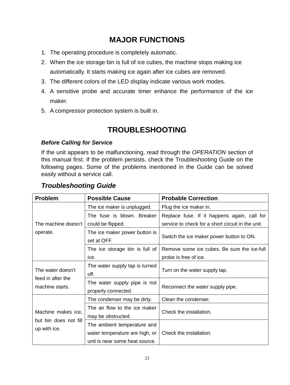## **MAJOR FUNCTIONS**

- 1. The operating procedure is completely automatic.
- 2. When the ice storage bin is full of ice cubes, the machine stops making ice automatically. It starts making ice again after ice cubes are removed.
- 3. The different colors of the LED display indicate various work modes.
- 4. A sensitive probe and accurate timer enhance the performance of the ice maker.
- 5. A compressor protection system is built in.

## **TROUBLESHOOTING**

#### *Before Calling for Service*

If the unit appears to be malfunctioning, read through the *OPERATION* section of this manual first. If the problem persists, check the Troubleshooting Guide on the following pages. Some of the problems mentioned in the Guide can be solved easily without a service call.

| <b>Problem</b>                                              | <b>Possible Cause</b>                                                                           | <b>Probable Correction</b>                        |
|-------------------------------------------------------------|-------------------------------------------------------------------------------------------------|---------------------------------------------------|
| The machine doesn't<br>operate.                             | The ice maker is unplugged.                                                                     | Plug the ice maker in.                            |
|                                                             | The fuse is blown. Breaker                                                                      | Replace fuse. If it happens again, call for       |
|                                                             | could be flipped.                                                                               | service to check for a short circuit in the unit. |
|                                                             | The ice maker power button is<br>set at OFF.                                                    | Switch the ice maker power button to ON.          |
|                                                             | The ice storage bin is full of                                                                  | Remove some ice cubes. Be sure the ice-full       |
|                                                             | ice.                                                                                            | probe is free of ice.                             |
| The water doesn't<br>feed in after the<br>machine starts.   | The water supply tap is turned<br>off.                                                          | Turn on the water supply tap.                     |
|                                                             | The water supply pipe is not<br>properly connected.                                             | Reconnect the water supply pipe.                  |
| Machine makes ice,<br>but bin does not fill<br>up with ice. | The condenser may be dirty.                                                                     | Clean the condenser.                              |
|                                                             | The air flow to the ice maker<br>may be obstructed.                                             | Check the installation.                           |
|                                                             | The ambient temperature and<br>water temperature are high, or<br>unit is near some heat source. | Check the installation.                           |

#### *Troubleshooting Guide*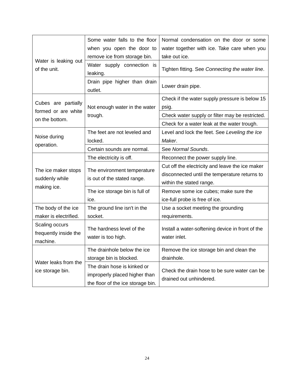| Water is leaking out<br>of the unit.                 | Some water falls to the floor                              | Normal condensation on the door or some                                                                                      |
|------------------------------------------------------|------------------------------------------------------------|------------------------------------------------------------------------------------------------------------------------------|
|                                                      | when you open the door to                                  | water together with ice. Take care when you                                                                                  |
|                                                      | remove ice from storage bin.                               | take out ice.                                                                                                                |
|                                                      | Water supply connection is<br>leaking.                     | Tighten fitting. See Connecting the water line.                                                                              |
|                                                      | Drain pipe higher than drain<br>outlet.                    | Lower drain pipe.                                                                                                            |
|                                                      | Not enough water in the water<br>trough.                   | Check if the water supply pressure is below 15                                                                               |
| Cubes are partially                                  |                                                            | psig.                                                                                                                        |
| formed or are white<br>on the bottom.                |                                                            | Check water supply or filter may be restricted.                                                                              |
|                                                      |                                                            | Check for a water leak at the water trough.                                                                                  |
| Noise during<br>operation.                           | The feet are not leveled and                               | Level and lock the feet. See Leveling the Ice                                                                                |
|                                                      | locked.                                                    | Maker.                                                                                                                       |
|                                                      | Certain sounds are normal.                                 | See Normal Sounds.                                                                                                           |
| The ice maker stops<br>suddenly while<br>making ice. | The electricity is off.                                    | Reconnect the power supply line.                                                                                             |
|                                                      | The environment temperature<br>is out of the stated range. | Cut off the electricity and leave the ice maker<br>disconnected until the temperature returns to<br>within the stated range. |
|                                                      | The ice storage bin is full of                             | Remove some ice cubes; make sure the                                                                                         |
|                                                      | ice.                                                       | ice-full probe is free of ice.                                                                                               |
| The body of the ice                                  | The ground line isn't in the                               | Use a socket meeting the grounding                                                                                           |
| maker is electrified.                                | socket.                                                    | requirements.                                                                                                                |
| Scaling occurs<br>frequently inside the<br>machine.  | The hardness level of the<br>water is too high.            | Install a water-softening device in front of the<br>water inlet.                                                             |
| Water leaks from the<br>ice storage bin.             | The drainhole below the ice                                | Remove the ice storage bin and clean the                                                                                     |
|                                                      | storage bin is blocked.                                    | drainhole.                                                                                                                   |
|                                                      | The drain hose is kinked or                                | Check the drain hose to be sure water can be<br>drained out unhindered.                                                      |
|                                                      | improperly placed higher than                              |                                                                                                                              |
|                                                      | the floor of the ice storage bin.                          |                                                                                                                              |